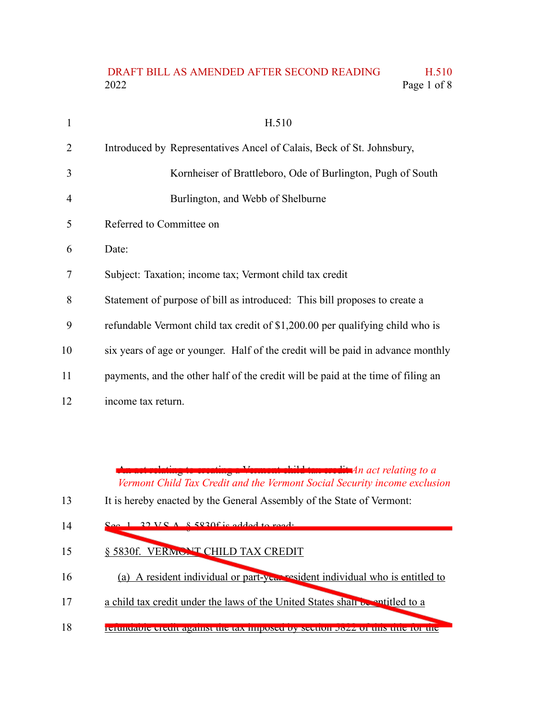## DRAFT BILL AS AMENDED AFTER SECOND READING H.510 2022 Page 1 of 8

| 1  | H.510                                                                            |
|----|----------------------------------------------------------------------------------|
| 2  | Introduced by Representatives Ancel of Calais, Beck of St. Johnsbury,            |
| 3  | Kornheiser of Brattleboro, Ode of Burlington, Pugh of South                      |
| 4  | Burlington, and Webb of Shelburne                                                |
| 5  | Referred to Committee on                                                         |
| 6  | Date:                                                                            |
| 7  | Subject: Taxation; income tax; Vermont child tax credit                          |
| 8  | Statement of purpose of bill as introduced: This bill proposes to create a       |
| 9  | refundable Vermont child tax credit of \$1,200.00 per qualifying child who is    |
| 10 | six years of age or younger. Half of the credit will be paid in advance monthly  |
| 11 | payments, and the other half of the credit will be paid at the time of filing an |
| 12 | income tax return.                                                               |

An act relating to creating a Vermont child tax credit *An act relating to a Vermont Child Tax Credit and the Vermont Social Security income exclusion*

| 13<br>It is hereby enacted by the General Assembly of the State of Vermont: |  |
|-----------------------------------------------------------------------------|--|
|-----------------------------------------------------------------------------|--|

- $S_{\text{ee}}$  1. 22 V.S.A.  $\S$  5820f is added to read: 14
- § 5830f. VERMONT CHILD TAX CREDIT 15
- (a) A resident individual or part-year resident individual who is entitled to 16
- a child tax credit under the laws of the United States shall be entitled to a 17
- refundable credit against the tax imposed by section 5822 of this title for the 18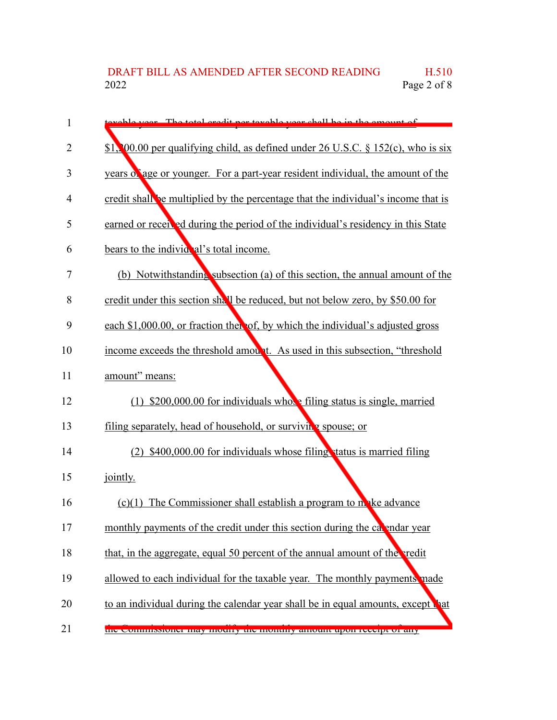| 1  | vable year. The total credit per toyable year shall be in the emount of              |
|----|--------------------------------------------------------------------------------------|
| 2  | \$1, 00.00 per qualifying child, as defined under 26 U.S.C. $\S 152(c)$ , who is six |
| 3  | years of age or younger. For a part-year resident individual, the amount of the      |
| 4  | credit shall be multiplied by the percentage that the individual's income that is    |
| 5  | earned or received during the period of the individual's residency in this State     |
| 6  | bears to the individent's total income.                                              |
| 7  | (b) Notwithstanding subsection (a) of this section, the annual amount of the         |
| 8  | credit under this section shall be reduced, but not below zero, by \$50.00 for       |
| 9  | each \$1,000.00, or fraction then of, by which the individual's adjusted gross       |
| 10 | income exceeds the threshold amount. As used in this subsection, "threshold"         |
| 11 | amount" means:                                                                       |
| 12 | (1) $$200,000.00$ for individuals whote filing status is single, married             |
| 13 | filing separately, head of household, or surviving spouse; or                        |
| 14 | (2) \$400,000.00 for individuals whose filing status is married filing               |
| 15 | jointly.                                                                             |
| 16 | $(c)(1)$ The Commissioner shall establish a program to make advance                  |
| 17 | monthly payments of the credit under this section during the calendar year           |
| 18 | that, in the aggregate, equal 50 percent of the annual amount of the redit           |
| 19 | allowed to each individual for the taxable year. The monthly payments made           |
| 20 | to an individual during the calendar year shall be in equal amounts, except that     |
| 21 | the commissioner may mounty the monthly amount upon receipt or any                   |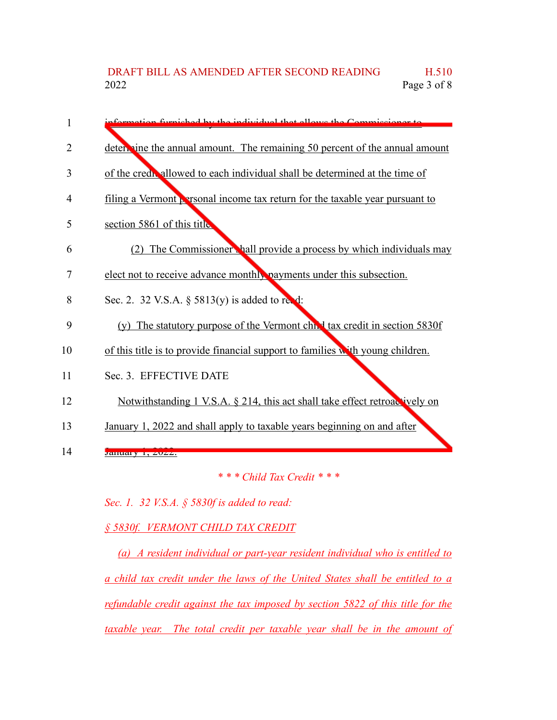| 1  | eformation furnighed by the individual that allows the Commissioner to              |
|----|-------------------------------------------------------------------------------------|
| 2  | determine the annual amount. The remaining 50 percent of the annual amount          |
| 3  | of the credit allowed to each individual shall be determined at the time of         |
| 4  | filing a Vermont <b>P</b> rsonal income tax return for the taxable year pursuant to |
| 5  | section 5861 of this title                                                          |
| 6  | (2) The Commissioner hall provide a process by which individuals may                |
| 7  | elect not to receive advance monthly payments under this subsection.                |
| 8  | Sec. 2. 32 V.S.A. $\S$ 5813(y) is added to read:                                    |
| 9  | (y) The statutory purpose of the Vermont chief tax credit in section 5830f          |
| 10 | of this title is to provide financial support to families with young children.      |
| 11 | Sec. 3. EFFECTIVE DATE                                                              |
| 12 | Notwithstanding 1 V.S.A. § 214, this act shall take effect retroactively on         |
| 13 | January 1, 2022 and shall apply to taxable years beginning on and after             |
| 14 | January 1, 2022.                                                                    |

*\* \* \* Child Tax Credit \* \* \**

*Sec. 1. 32 V.S.A. § 5830f is added to read:*

*§ 5830f. VERMONT CHILD TAX CREDIT*

*(a) A resident individual or part-year resident individual who is entitled to a child tax credit under the laws of the United States shall be entitled to a refundable credit against the tax imposed by section 5822 of this title for the taxable year. The total credit per taxable year shall be in the amount of*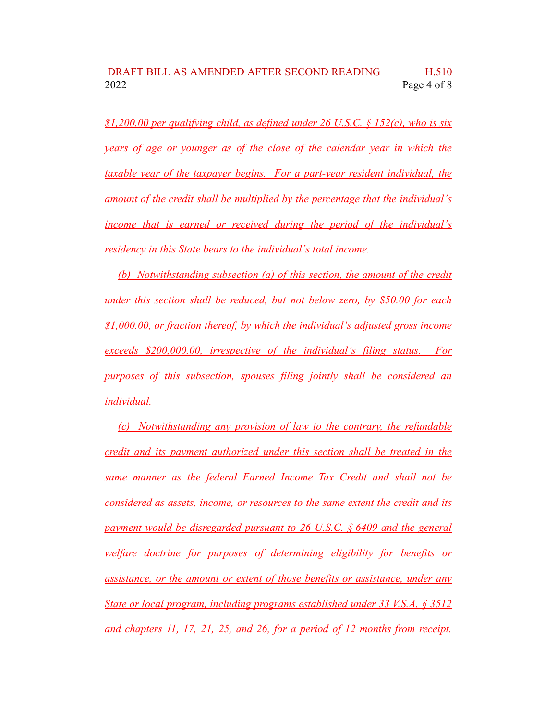## DRAFT BILL AS AMENDED AFTER SECOND READING H.510 2022 Page 4 of 8

*\$1,200.00 per qualifying child, as defined under 26 U.S.C. § 152(c), who is six years of age or younger as of the close of the calendar year in which the taxable year of the taxpayer begins. For a part-year resident individual, the amount of the credit shall be multiplied by the percentage that the individual's income that is earned or received during the period of the individual's residency in this State bears to the individual's total income.*

*(b) Notwithstanding subsection (a) of this section, the amount of the credit under this section shall be reduced, but not below zero, by \$50.00 for each \$1,000.00, or fraction thereof, by which the individual's adjusted gross income exceeds \$200,000.00, irrespective of the individual's filing status. For purposes of this subsection, spouses filing jointly shall be considered an individual.*

*(c) Notwithstanding any provision of law to the contrary, the refundable credit and its payment authorized under this section shall be treated in the same manner as the federal Earned Income Tax Credit and shall not be considered as assets, income, or resources to the same extent the credit and its payment would be disregarded pursuant to 26 U.S.C. § 6409 and the general welfare doctrine for purposes of determining eligibility for benefits or assistance, or the amount or extent of those benefits or assistance, under any State or local program, including programs established under 33 V.S.A. § 3512 and chapters 11, 17, 21, 25, and 26, for a period of 12 months from receipt.*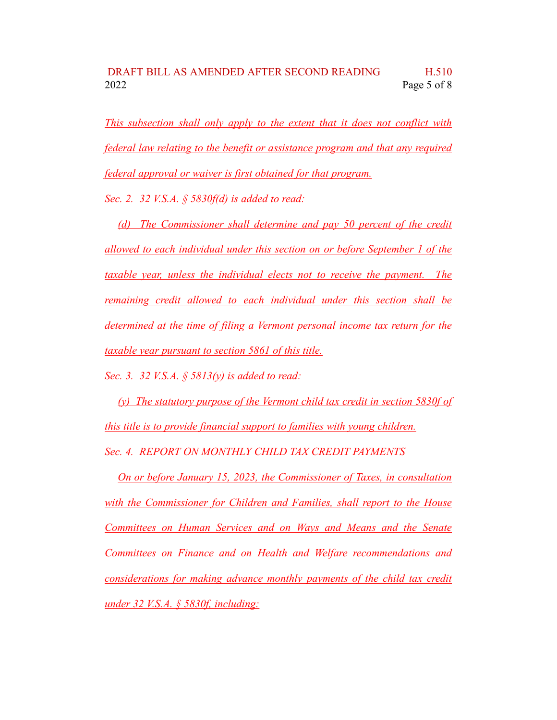*This subsection shall only apply to the extent that it does not conflict with federal law relating to the benefit or assistance program and that any required federal approval or waiver is first obtained for that program.*

*Sec. 2. 32 V.S.A. § 5830f(d) is added to read:*

*(d) The Commissioner shall determine and pay 50 percent of the credit allowed to each individual under this section on or before September 1 of the taxable year, unless the individual elects not to receive the payment. The remaining credit allowed to each individual under this section shall be determined at the time of filing a Vermont personal income tax return for the taxable year pursuant to section 5861 of this title.*

*Sec. 3. 32 V.S.A. § 5813(y) is added to read:*

*(y) The statutory purpose of the Vermont child tax credit in section 5830f of this title is to provide financial support to families with young children. Sec. 4. REPORT ON MONTHLY CHILD TAX CREDIT PAYMENTS*

*On or before January 15, 2023, the Commissioner of Taxes, in consultation with the Commissioner for Children and Families, shall report to the House Committees on Human Services and on Ways and Means and the Senate Committees on Finance and on Health and Welfare recommendations and considerations for making advance monthly payments of the child tax credit under 32 V.S.A. § 5830f, including:*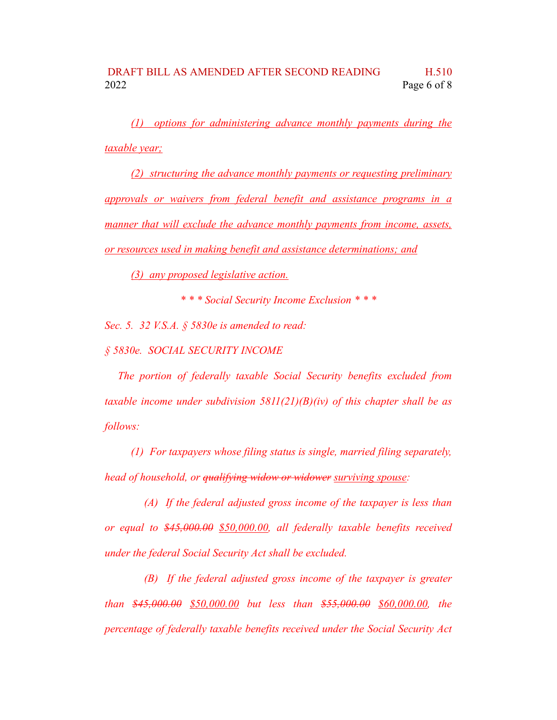*(1) options for administering advance monthly payments during the taxable year;*

*(2) structuring the advance monthly payments or requesting preliminary approvals or waivers from federal benefit and assistance programs in a manner that will exclude the advance monthly payments from income, assets, or resources used in making benefit and assistance determinations; and*

*(3) any proposed legislative action.*

*\* \* \* Social Security Income Exclusion \* \* \**

*Sec. 5. 32 V.S.A. § 5830e is amended to read:*

*§ 5830e. SOCIAL SECURITY INCOME*

*The portion of federally taxable Social Security benefits excluded from taxable income under subdivision 5811(21)(B)(iv) of this chapter shall be as follows:*

*(1) For taxpayers whose filing status is single, married filing separately, head of household, or qualifying widow or widower surviving spouse:*

*(A) If the federal adjusted gross income of the taxpayer is less than or equal to \$45,000.00 \$50,000.00, all federally taxable benefits received under the federal Social Security Act shall be excluded.*

*(B) If the federal adjusted gross income of the taxpayer is greater than \$45,000.00 \$50,000.00 but less than \$55,000.00 \$60,000.00, the percentage of federally taxable benefits received under the Social Security Act*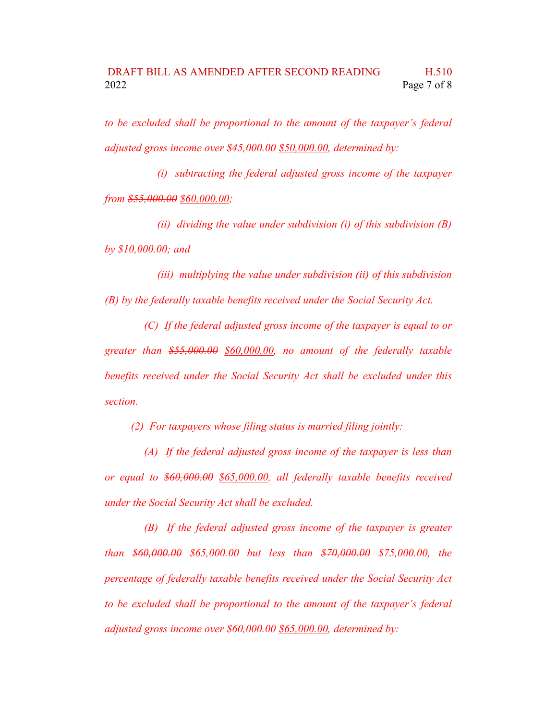*to be excluded shall be proportional to the amount of the taxpayer's federal adjusted gross income over \$45,000.00 \$50,000.00, determined by:*

*(i) subtracting the federal adjusted gross income of the taxpayer from \$55,000.00 \$60,000.00;*

*(ii) dividing the value under subdivision (i) of this subdivision (B) by \$10,000.00; and*

*(iii) multiplying the value under subdivision (ii) of this subdivision (B) by the federally taxable benefits received under the Social Security Act.*

*(C) If the federal adjusted gross income of the taxpayer is equal to or greater than \$55,000.00 \$60,000.00, no amount of the federally taxable benefits received under the Social Security Act shall be excluded under this section.*

*(2) For taxpayers whose filing status is married filing jointly:*

*(A) If the federal adjusted gross income of the taxpayer is less than or equal to \$60,000.00 \$65,000.00, all federally taxable benefits received under the Social Security Act shall be excluded.*

*(B) If the federal adjusted gross income of the taxpayer is greater than \$60,000.00 \$65,000.00 but less than \$70,000.00 \$75,000.00, the percentage of federally taxable benefits received under the Social Security Act to be excluded shall be proportional to the amount of the taxpayer's federal adjusted gross income over \$60,000.00 \$65,000.00, determined by:*